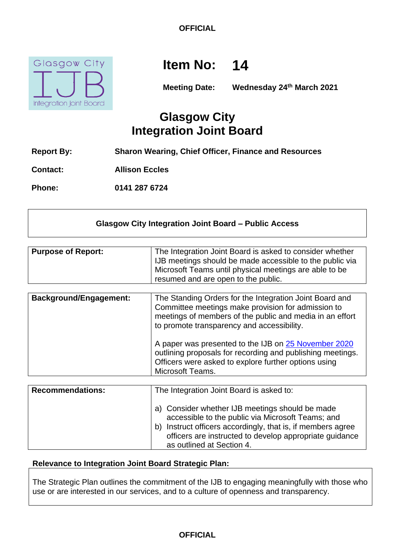**OFFICIAL**



# **Item No: 14**

**Meeting Date: Wednesday 24th March 2021**

## **Glasgow City Integration Joint Board**

- **Report By: Sharon Wearing, Chief Officer, Finance and Resources**
- **Contact: Allison Eccles**

**Phone: 0141 287 6724**

### **Glasgow City Integration Joint Board – Public Access**

| <b>Purpose of Report:</b> | The Integration Joint Board is asked to consider whether |
|---------------------------|----------------------------------------------------------|
|                           | IJB meetings should be made accessible to the public via |
|                           | Microsoft Teams until physical meetings are able to be   |
|                           | resumed and are open to the public.                      |

| <b>Background/Engagement:</b> | The Standing Orders for the Integration Joint Board and<br>Committee meetings make provision for admission to<br>meetings of members of the public and media in an effort<br>to promote transparency and accessibility. |
|-------------------------------|-------------------------------------------------------------------------------------------------------------------------------------------------------------------------------------------------------------------------|
|                               | A paper was presented to the IJB on 25 November 2020<br>outlining proposals for recording and publishing meetings.<br>Officers were asked to explore further options using<br>Microsoft Teams.                          |

| <b>Recommendations:</b> | The Integration Joint Board is asked to:                                                                                                                                                                                                                       |
|-------------------------|----------------------------------------------------------------------------------------------------------------------------------------------------------------------------------------------------------------------------------------------------------------|
|                         | a) Consider whether IJB meetings should be made<br>accessible to the public via Microsoft Teams; and<br>Instruct officers accordingly, that is, if members agree<br>b)<br>officers are instructed to develop appropriate guidance<br>as outlined at Section 4. |

#### **Relevance to Integration Joint Board Strategic Plan:**

The Strategic Plan outlines the commitment of the IJB to engaging meaningfully with those who use or are interested in our services, and to a culture of openness and transparency.

### **OFFICIAL**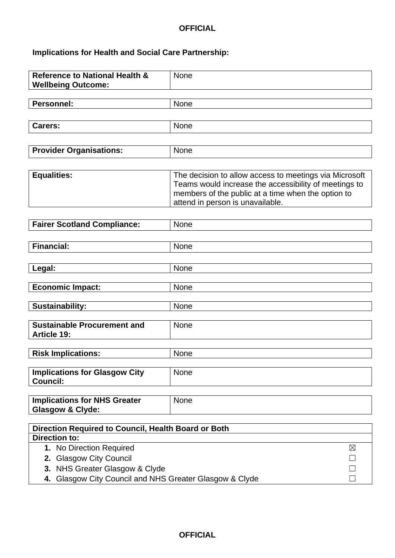## **OFFICIAL**

## **Implications for Health and Social Care Partnership:**

| <b>Reference to National Health &amp;</b><br><b>Wellbeing Outcome:</b> | None                                                   |  |
|------------------------------------------------------------------------|--------------------------------------------------------|--|
|                                                                        |                                                        |  |
| <b>Personnel:</b>                                                      | None                                                   |  |
|                                                                        |                                                        |  |
| <b>Carers:</b>                                                         | None                                                   |  |
|                                                                        |                                                        |  |
| <b>Provider Organisations:</b>                                         | None                                                   |  |
|                                                                        |                                                        |  |
|                                                                        |                                                        |  |
| <b>Equalities:</b>                                                     | The decision to allow access to meetings via Microsoft |  |
|                                                                        | Teams would increase the accessibility of meetings to  |  |
|                                                                        | members of the public at a time when the option to     |  |
|                                                                        | attend in person is unavailable.                       |  |
|                                                                        |                                                        |  |
| <b>Fairer Scotland Compliance:</b>                                     | None                                                   |  |
|                                                                        |                                                        |  |
| <b>Financial:</b>                                                      | None                                                   |  |
|                                                                        |                                                        |  |
| Legal:                                                                 | None                                                   |  |
|                                                                        |                                                        |  |
| <b>Economic Impact:</b>                                                | None                                                   |  |
|                                                                        |                                                        |  |
| <b>Sustainability:</b>                                                 | None                                                   |  |
|                                                                        |                                                        |  |
| <b>Sustainable Procurement and</b>                                     | None                                                   |  |
| <b>Article 19:</b>                                                     |                                                        |  |
|                                                                        | None                                                   |  |
| <b>Risk Implications:</b>                                              |                                                        |  |
| <b>Implications for Glasgow City</b>                                   | None                                                   |  |
| <b>Council:</b>                                                        |                                                        |  |
|                                                                        |                                                        |  |
| <b>Implications for NHS Greater</b>                                    | None                                                   |  |
| Glasgow & Clyde:                                                       |                                                        |  |
|                                                                        |                                                        |  |
| Direction Required to Council, Health Board or Both                    |                                                        |  |
| <b>Direction to:</b>                                                   |                                                        |  |
| 1. No Direction Required                                               | $\boxtimes$                                            |  |
| 2. Glasgow City Council                                                |                                                        |  |
| 3. NHS Greater Glasgow & Clyde                                         |                                                        |  |
| 4. Glasgow City Council and NHS Greater Glasgow & Clyde                |                                                        |  |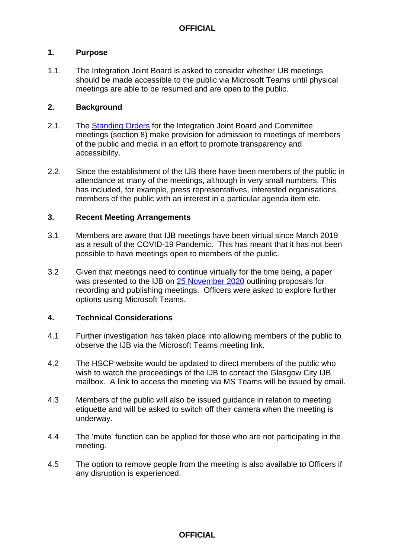#### **1. Purpose**

1.1. The Integration Joint Board is asked to consider whether IJB meetings should be made accessible to the public via Microsoft Teams until physical meetings are able to be resumed and are open to the public.

#### **2. Background**

- 2.1. The [Standing Orders](https://glasgowcity.hscp.scot/publication/standing-orders-ijb) for the Integration Joint Board and Committee meetings (section 8) make provision for admission to meetings of members of the public and media in an effort to promote transparency and accessibility.
- 2.2. Since the establishment of the IJB there have been members of the public in attendance at many of the meetings, although in very small numbers. This has included, for example, press representatives, interested organisations, members of the public with an interest in a particular agenda item etc.

#### **3. Recent Meeting Arrangements**

- 3.1 Members are aware that IJB meetings have been virtual since March 2019 as a result of the COVID-19 Pandemic. This has meant that it has not been possible to have meetings open to members of the public.
- 3.2 Given that meetings need to continue virtually for the time being, a paper was presented to the IJB on [25 November 2020](https://glasgowcity.hscp.scot/sites/default/files/publications/ITEM%20No%2010%20-%20Glasgow%20City%20IJB%20Meeting%20Recording_0.pdf) outlining proposals for recording and publishing meetings. Officers were asked to explore further options using Microsoft Teams.

#### **4. Technical Considerations**

- 4.1 Further investigation has taken place into allowing members of the public to observe the IJB via the Microsoft Teams meeting link.
- 4.2 The HSCP website would be updated to direct members of the public who wish to watch the proceedings of the IJB to contact the Glasgow City IJB mailbox. A link to access the meeting via MS Teams will be issued by email.
- 4.3 Members of the public will also be issued guidance in relation to meeting etiquette and will be asked to switch off their camera when the meeting is underway.
- 4.4 The 'mute' function can be applied for those who are not participating in the meeting.
- 4.5 The option to remove people from the meeting is also available to Officers if any disruption is experienced.

#### **OFFICIAL**